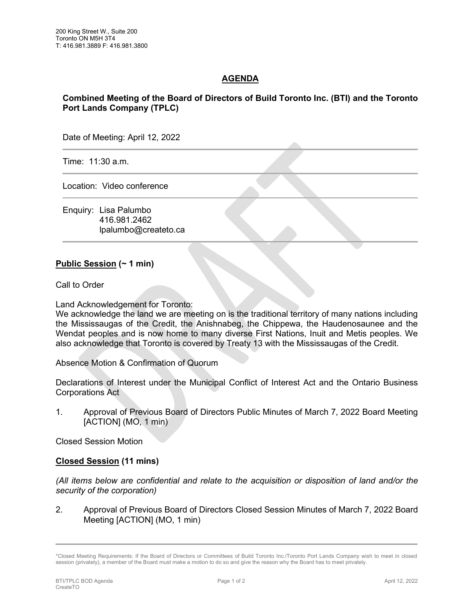## **AGENDA**

## **Combined Meeting of the Board of Directors of Build Toronto Inc. (BTI) and the Toronto Port Lands Company (TPLC)**

Date of Meeting: April 12, 2022

Time: 11:30 a.m.

Location: Video conference

Enquiry: Lisa Palumbo 416.981.2462 lpalumbo@createto.ca

## **Public Session (~ 1 min)**

Call to Order

Land Acknowledgement for Toronto:

We acknowledge the land we are meeting on is the traditional territory of many nations including the Mississaugas of the Credit, the Anishnabeg, the Chippewa, the Haudenosaunee and the Wendat peoples and is now home to many diverse First Nations, Inuit and Metis peoples. We also acknowledge that Toronto is covered by Treaty 13 with the Mississaugas of the Credit.

Absence Motion & Confirmation of Quorum

Declarations of Interest under the Municipal Conflict of Interest Act and the Ontario Business Corporations Act

1. Approval of Previous Board of Directors Public Minutes of March 7, 2022 Board Meeting [ACTION] (MO, 1 min)

Closed Session Motion

## **Closed Session (11 mins)**

*(All items below are confidential and relate to the acquisition or disposition of land and/or the security of the corporation)*

2. Approval of Previous Board of Directors Closed Session Minutes of March 7, 2022 Board Meeting [ACTION] (MO, 1 min)

<sup>\*</sup>Closed Meeting Requirements: If the Board of Directors or Committees of Build Toronto Inc./Toronto Port Lands Company wish to meet in closed session (privately), a member of the Board must make a motion to do so and give the reason why the Board has to meet privately.